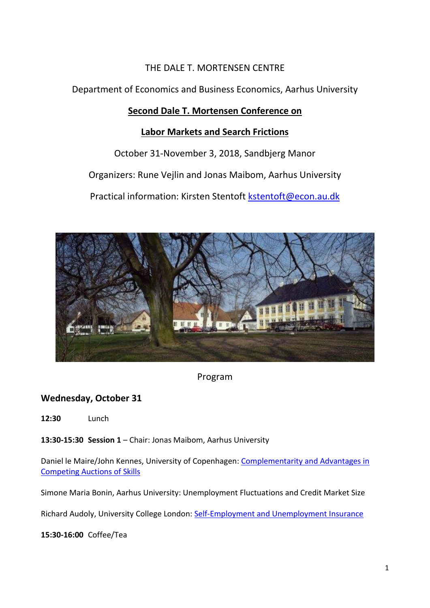# THE DALE T. MORTENSEN CENTRE

Department of Economics and Business Economics, Aarhus University

# **Second Dale T. Mortensen Conference on**

# **Labor Markets and Search Frictions**

October 31-November 3, 2018, Sandbjerg Manor

Organizers: Rune Vejlin and Jonas Maibom, Aarhus University

Practical information: Kirsten Stentoft [kstentoft@econ.au.dk](mailto:kstentoft@econ.au.dk)



Program

# **Wednesday, October 31**

**12:30** Lunch

**13:30-15:30 Session 1** – Chair: Jonas Maibom, Aarhus University

Daniel le Maire/John Kennes, University of Copenhagen: Complementarity and Advantages in [Competing Auctions of Skills](http://econ.au.dk/fileadmin/user_upload/Conferences/KennesleMaire.pdf)

Simone Maria Bonin, Aarhus University: Unemployment Fluctuations and Credit Market Size

Richard Audoly, University College London: [Self-Employment and Unemployment Insurance](http://econ.au.dk/fileadmin/user_upload/Conferences/RichardAudoly.pdf)

**15:30-16:00** Coffee/Tea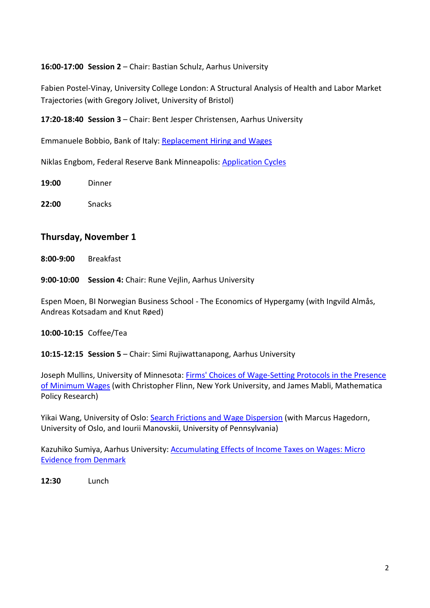### **16:00-17:00 Session 2** – Chair: Bastian Schulz, Aarhus University

Fabien Postel-Vinay, University College London: A Structural Analysis of Health and Labor Market Trajectories (with Gregory Jolivet, University of Bristol)

**17:20-18:40 Session 3** – Chair: Bent Jesper Christensen, Aarhus University

Emmanuele Bobbio, Bank of Italy: [Replacement Hiring and Wages](http://econ.au.dk/fileadmin/user_upload/Conferences/EmmanueleBobbio.pdf)

Niklas Engbom, Federal Reserve Bank Minneapolis: [Application Cycles](http://econ.au.dk/fileadmin/user_upload/Conferences/NiklasEngbom.pdf)

**19:00** Dinner

**22:00** Snacks

## **Thursday, November 1**

**8:00-9:00** Breakfast

**9:00-10:00 Session 4:** Chair: Rune Vejlin, Aarhus University

Espen Moen, BI Norwegian Business School - The Economics of Hypergamy (with Ingvild Almås, Andreas Kotsadam and Knut Røed)

#### **10:00-10:15** Coffee/Tea

**10:15-12:15 Session 5** – Chair: Simi Rujiwattanapong, Aarhus University

Joseph Mullins, University of Minnesota: [Firms' Choices of Wage-Setting Protocols in the Presence](http://econ.au.dk/fileadmin/user_upload/Conferences/FlinnMabliMullins.pdf)  [of Minimum Wages](http://econ.au.dk/fileadmin/user_upload/Conferences/FlinnMabliMullins.pdf) (with Christopher Flinn, New York University, and James Mabli, Mathematica Policy Research)

Yikai Wang, University of Oslo: [Search Frictions and Wage Dispersion](http://econ.au.dk/fileadmin/user_upload/Conferences/YikaiWang.pdf) (with Marcus Hagedorn, University of Oslo, and Iourii Manovskii, University of Pennsylvania)

Kazuhiko Sumiya, Aarhus University: [Accumulating Effects of Income Taxes on Wages: Micro](http://econ.au.dk/fileadmin/user_upload/Conferences/KazuhikoSumiya.pdf)  [Evidence from Denmark](http://econ.au.dk/fileadmin/user_upload/Conferences/KazuhikoSumiya.pdf)

**12:30** Lunch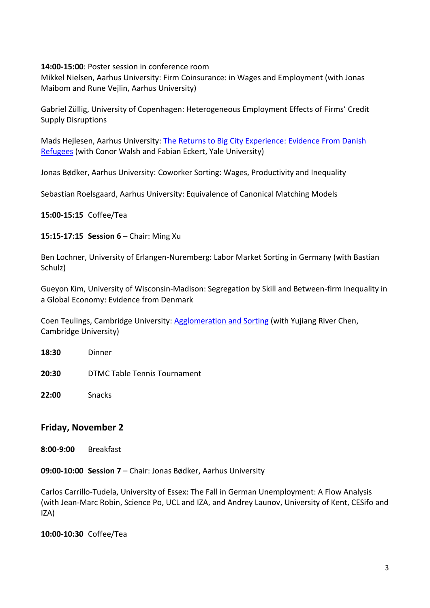**14:00-15:00**: Poster session in conference room

Mikkel Nielsen, Aarhus University: Firm Coinsurance: in Wages and Employment (with Jonas Maibom and Rune Vejlin, Aarhus University)

Gabriel Züllig, University of Copenhagen: Heterogeneous Employment Effects of Firms' Credit Supply Disruptions

Mads Hejlesen, Aarhus University: [The Returns to Big City Experience: Evidence From Danish](http://econ.au.dk/fileadmin/user_upload/Conferences/MadsHejlesen.pdf)  [Refugees](http://econ.au.dk/fileadmin/user_upload/Conferences/MadsHejlesen.pdf) (with Conor Walsh and Fabian Eckert, Yale University)

Jonas Bødker, Aarhus University: Coworker Sorting: Wages, Productivity and Inequality

Sebastian Roelsgaard, Aarhus University: Equivalence of Canonical Matching Models

**15:00-15:15** Coffee/Tea

#### **15:15-17:15 Session 6** – Chair: Ming Xu

Ben Lochner, University of Erlangen-Nuremberg: Labor Market Sorting in Germany (with Bastian Schulz)

Gueyon Kim, University of Wisconsin-Madison: Segregation by Skill and Between-firm Inequality in a Global Economy: Evidence from Denmark

Coen Teulings, Cambridge University: [Agglomeration and Sorting](http://econ.au.dk/fileadmin/user_upload/Conferences/CoenTeulings.pdf) (with Yujiang River Chen, Cambridge University)

**18:30** Dinner

**20:30** DTMC Table Tennis Tournament

**22:00** Snacks

# **Friday, November 2**

**8:00-9:00** Breakfast

**09:00-10:00 Session 7** – Chair: Jonas Bødker, Aarhus University

Carlos Carrillo-Tudela, University of Essex: The Fall in German Unemployment: A Flow Analysis (with Jean-Marc Robin, Science Po, UCL and IZA, and Andrey Launov, University of Kent, CESifo and IZA)

**10:00-10:30** Coffee/Tea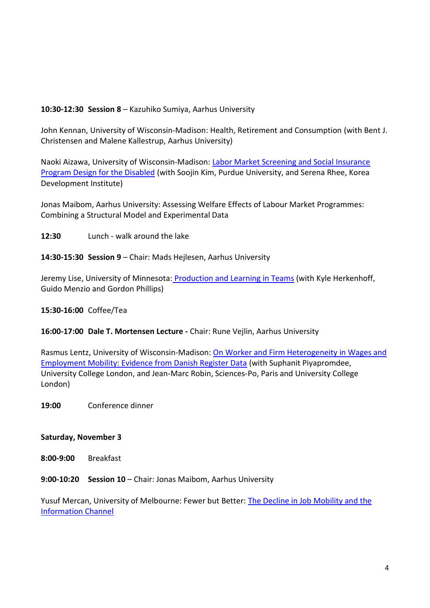## **10:30-12:30 Session 8** – Kazuhiko Sumiya, Aarhus University

John Kennan, University of Wisconsin-Madison: Health, Retirement and Consumption (with Bent J. Christensen and Malene Kallestrup, Aarhus University)

Naoki Aizawa, University of Wisconsin-Madison: [Labor Market Screening and Social Insurance](http://econ.au.dk/fileadmin/user_upload/Conferences/NaokiAizawa.pdf)  [Program Design for the Disabled](http://econ.au.dk/fileadmin/user_upload/Conferences/NaokiAizawa.pdf) (with Soojin Kim, Purdue University, and Serena Rhee, Korea Development Institute)

Jonas Maibom, Aarhus University: Assessing Welfare Effects of Labour Market Programmes: Combining a Structural Model and Experimental Data

**12:30** Lunch - walk around the lake

**14:30-15:30 Session 9** – Chair: Mads Hejlesen, Aarhus University

Jeremy Lise, University of Minnesota: [Production and Learning in Teams](http://econ.au.dk/fileadmin/user_upload/Conferences/JeremyLise.pdf) (with Kyle Herkenhoff, Guido Menzio and Gordon Phillips)

## **15:30-16:00** Coffee/Tea

**16:00-17:00 Dale T. Mortensen Lecture -** Chair: Rune Vejlin, Aarhus University

Rasmus Lentz, University of Wisconsin-Madison: [On Worker and Firm Heterogeneity in Wages and](http://econ.au.dk/fileadmin/user_upload/Conferences/RasmusLentz.pdf) [Employment Mobility: Evidence from Danish Register Data](http://econ.au.dk/fileadmin/user_upload/Conferences/RasmusLentz.pdf) (with Suphanit Piyapromdee, University College London, and Jean-Marc Robin, Sciences-Po, Paris and University College London)

**19:00** Conference dinner

## **Saturday, November 3**

**8:00-9:00** Breakfast

**9:00-10:20 Session 10** – Chair: Jonas Maibom, Aarhus University

Yusuf Mercan, University of Melbourne: Fewer but Better: [The Decline in Job Mobility and the](http://econ.au.dk/fileadmin/user_upload/Conferences/YusufMercan.pdf)  [Information Channel](http://econ.au.dk/fileadmin/user_upload/Conferences/YusufMercan.pdf)